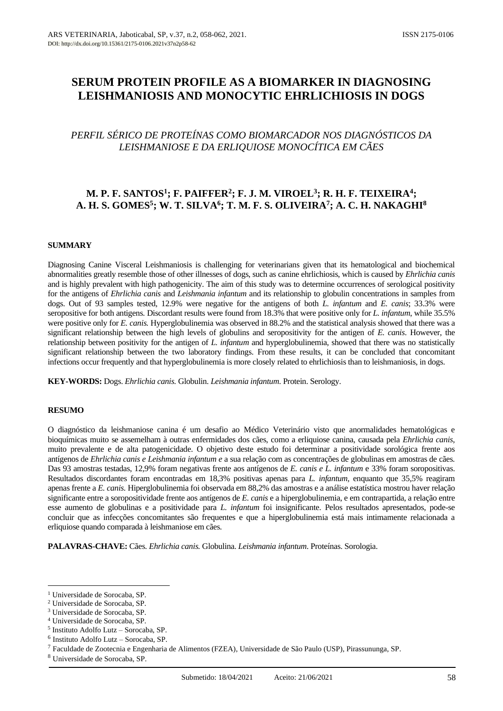# **SERUM PROTEIN PROFILE AS A BIOMARKER IN DIAGNOSING LEISHMANIOSIS AND MONOCYTIC EHRLICHIOSIS IN DOGS**

## *PERFIL SÉRICO DE PROTEÍNAS COMO BIOMARCADOR NOS DIAGNÓSTICOS DA LEISHMANIOSE E DA ERLIQUIOSE MONOCÍTICA EM CÃES*

## **M. P. F. SANTOS<sup>1</sup> ; F. PAIFFER<sup>2</sup> ; F. J. M. VIROEL<sup>3</sup> ; R. H. F. TEIXEIRA<sup>4</sup> ; A. H. S. GOMES<sup>5</sup> ; W. T. SILVA<sup>6</sup> ; T. M. F. S. OLIVEIRA<sup>7</sup> ; A. C. H. NAKAGHI<sup>8</sup>**

## **SUMMARY**

Diagnosing Canine Visceral Leishmaniosis is challenging for veterinarians given that its hematological and biochemical abnormalities greatly resemble those of other illnesses of dogs, such as canine ehrlichiosis, which is caused by *Ehrlichia canis* and is highly prevalent with high pathogenicity. The aim of this study was to determine occurrences of serological positivity for the antigens of *Ehrlichia canis* and *Leishmania infantum* and its relationship to globulin concentrations in samples from dogs. Out of 93 samples tested, 12.9% were negative for the antigens of both *L. infantum* and *E. canis*; 33.3% were seropositive for both antigens. Discordant results were found from 18.3% that were positive only for *L. infantum*, while 35.5% were positive only for *E. canis.* Hyperglobulinemia was observed in 88.2% and the statistical analysis showed that there was a significant relationship between the high levels of globulins and seropositivity for the antigen of *E. canis*. However, the relationship between positivity for the antigen of *L. infantum* and hyperglobulinemia, showed that there was no statistically significant relationship between the two laboratory findings. From these results, it can be concluded that concomitant infections occur frequently and that hyperglobulinemia is more closely related to ehrlichiosis than to leishmaniosis, in dogs.

**KEY-WORDS:** Dogs. *Ehrlichia canis.* Globulin. *Leishmania infantum*. Protein. Serology.

## **RESUMO**

O diagnóstico da leishmaniose canina é um desafio ao Médico Veterinário visto que anormalidades hematológicas e bioquímicas muito se assemelham à outras enfermidades dos cães, como a erliquiose canina, causada pela *Ehrlichia canis*, muito prevalente e de alta patogenicidade. O objetivo deste estudo foi determinar a positividade sorológica frente aos antígenos de *Ehrlichia canis e Leishmania infantum e* a sua relação com as concentrações de globulinas em amostras de cães. Das 93 amostras testadas, 12,9% foram negativas frente aos antígenos de *E. canis e L. infantum* e 33% foram soropositivas. Resultados discordantes foram encontradas em 18,3% positivas apenas para *L. infantum,* enquanto que 35,5% reagiram apenas frente a *E. canis.* Hiperglobulinemia foi observada em 88,2% das amostras e a análise estatística mostrou haver relação significante entre a soropositividade frente aos antígenos de *E. canis* e a hiperglobulinemia, e em contrapartida, a relação entre esse aumento de globulinas e a positividade para *L. infantum* foi insignificante. Pelos resultados apresentados, pode-se concluir que as infecções concomitantes são frequentes e que a hiperglobulinemia está mais intimamente relacionada a erliquiose quando comparada à leishmaniose em cães.

**PALAVRAS-CHAVE:** Cães. *Ehrlichia canis.* Globulina. *Leishmania infantum*. Proteínas. Sorologia.

<sup>&</sup>lt;sup>1</sup> Universidade de Sorocaba, SP.

<sup>2</sup> Universidade de Sorocaba, SP.

<sup>3</sup> Universidade de Sorocaba, SP.

<sup>4</sup> Universidade de Sorocaba, SP.

<sup>5</sup> Instituto Adolfo Lutz – Sorocaba, SP.

<sup>6</sup> Instituto Adolfo Lutz – Sorocaba, SP.

<sup>7</sup> Faculdade de Zootecnia e Engenharia de Alimentos (FZEA), Universidade de São Paulo (USP), Pirassununga, SP.

<sup>8</sup> Universidade de Sorocaba, SP.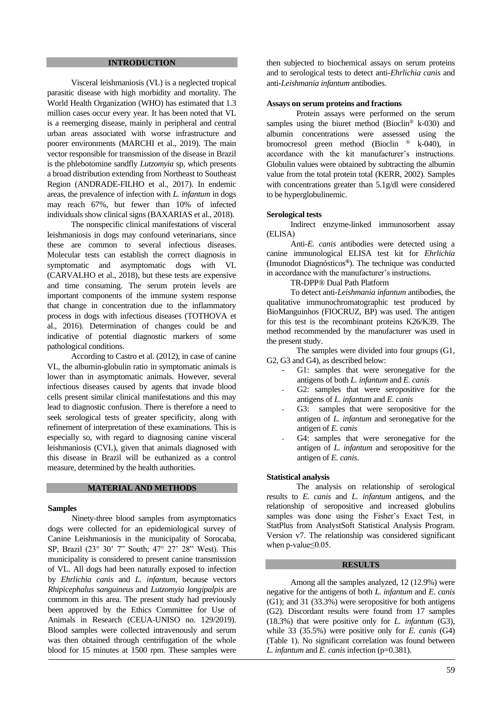## **INTRODUCTION**

Visceral leishmaniosis (VL) is a neglected tropical parasitic disease with high morbidity and mortality. The World Health Organization (WHO) has estimated that 1.3 million cases occur every year. It has been noted that VL is a reemerging disease, mainly in peripheral and central urban areas associated with worse infrastructure and poorer environments (MARCHI et al., 2019). The main vector responsible for transmission of the disease in Brazil is the phlebotomine sandfly *Lutzomyia* sp, which presents a broad distribution extending from Northeast to Southeast Region (ANDRADE-FILHO et al., 2017). In endemic areas, the prevalence of infection with *L. infantum* in dogs may reach 67%, but fewer than 10% of infected individuals show clinical signs (BAXARIAS et al., 2018).

The nonspecific clinical manifestations of visceral leishmaniosis in dogs may confound veterinarians, since these are common to several infectious diseases. Molecular tests can establish the correct diagnosis in symptomatic and asymptomatic dogs with VL (CARVALHO et al., 2018), but these tests are expensive and time consuming. The serum protein levels are important components of the immune system response that change in concentration due to the inflammatory process in dogs with infectious diseases (TOTHOVA et al., 2016). Determination of changes could be and indicative of potential diagnostic markers of some pathological conditions.

According to Castro et al. (2012), in case of canine VL, the albumin-globulin ratio in symptomatic animals is lower than in asymptomatic animals. However, several infectious diseases caused by agents that invade blood cells present similar clinical manifestations and this may lead to diagnostic confusion. There is therefore a need to seek serological tests of greater specificity, along with refinement of interpretation of these examinations. This is especially so, with regard to diagnosing canine visceral leishmaniosis (CVL), given that animals diagnosed with this disease in Brazil will be euthanized as a control measure, determined by the health authorities.

#### **MATERIAL AND METHODS**

#### **Samples**

Ninety-three blood samples from asymptomatics dogs were collected for an epidemiological survey of Canine Leishmaniosis in the municipality of Sorocaba, SP, Brazil (23° 30' 7" South; 47° 27' 28" West). This municipality is considered to present canine transmission of VL. All dogs had been naturally exposed to infection by *Ehrlichia canis* and *L. infantum,* because vectors *Rhipicephalus sanguineus* and *Lutzomyia longipalpis* are commom in this area. The present study had previously been approved by the Ethics Committee for Use of Animals in Research (CEUA-UNISO no. 129/2019). Blood samples were collected intravenously and serum was then obtained through centrifugation of the whole blood for 15 minutes at 1500 rpm. These samples were

then subjected to biochemical assays on serum proteins and to serological tests to detect anti-*Ehrlichia canis* and anti-*Leishmania infantum* antibodies.

#### **Assays on serum proteins and fractions**

Protein assays were performed on the serum samples using the biuret method (Bioclin® k-030) and albumin concentrations were assessed using the bromocresol green method (Bioclin ® k-040), in accordance with the kit manufacturer's instructions. Globulin values were obtained by subtracting the albumin value from the total protein total (KERR, 2002). Samples with concentrations greater than 5.1g/dl were considered to be hyperglobulinemic.

#### **Serological tests**

Indirect enzyme-linked immunosorbent assay (ELISA)

Anti-*E. canis* antibodies were detected using a canine immunological ELISA test kit for *Ehrlichia* (Imunodot Diagnósticos**®**). The technique was conducted in accordance with the manufacturer's instructions.

### TR-DPP® Dual Path Platform

To detect anti-*Leishmania infantum* antibodies, the qualitative immunochromatographic test produced by BioManguinhos (FIOCRUZ, BP) was used. The antigen for this test is the recombinant proteins K26/K39. The method recommended by the manufacturer was used in the present study.

The samples were divided into four groups (G1, G2, G3 and G4), as described below:

- G1: samples that were seronegative for the antigens of both *L. infantum* and *E. canis*
- G2: samples that were seropositive for the antigens of *L. infantum* and *E. canis*
- G3: samples that were seropositive for the antigen of *L. infantum* and seronegative for the antigen of *E. canis*
- G4: samples that were seronegative for the antigen of *L. infantum* and seropositive for the antigen of *E. canis*.

## **Statistical analysis**

The analysis on relationship of serological results to *E. canis* and *L. infantum* antigens, and the relationship of seropositive and increased globulins samples was done using the Fisher's Exact Test, in StatPlus from AnalystSoft Statistical Analysis Program. Version v7. The relationship was considered significant when p-value≤0.05.

### **RESULTS**

Among all the samples analyzed, 12 (12.9%) were negative for the antigens of both *L. infantum* and *E. canis* (G1); and 31 (33.3%) were seropositive for both antigens (G2). Discordant results were found from 17 samples (18.3%) that were positive only for *L. infantum* (G3), while 33 (35.5%) were positive only for *E. canis* (G4) (Table 1). No significant correlation was found between *L. infantum* and *E. canis* infection (p=0.381).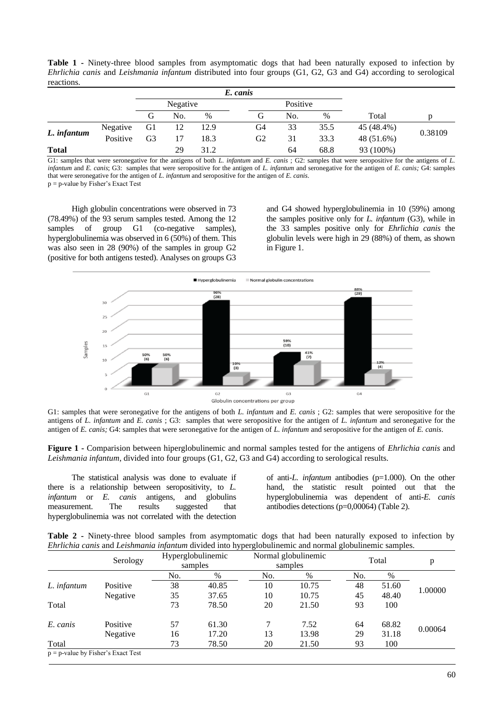**Table 1 -** Ninety-three blood samples from asymptomatic dogs that had been naturally exposed to infection by *Ehrlichia canis* and *Leishmania infantum* distributed into four groups (G1, G2, G3 and G4) according to serological reactions.

|              |          | E. canis |     |               |  |                |     |      |            |         |  |
|--------------|----------|----------|-----|---------------|--|----------------|-----|------|------------|---------|--|
|              |          | Negative |     |               |  | Positive       |     |      |            |         |  |
|              |          | G        | No. | $\frac{0}{0}$ |  | АT             | No. | $\%$ | Total      | p       |  |
| L. infantum  | Negative | - G1     | 12  | 12.9          |  | G4             | 33  | 35.5 | 45 (48.4%) | 0.38109 |  |
|              | Positive | G3       | 17  | 18.3          |  | G <sub>2</sub> | 31  | 33.3 | 48 (51.6%) |         |  |
| <b>Total</b> |          |          | 29  | 31.2          |  |                | 64  | 68.8 | 93 (100%)  |         |  |

G1: samples that were seronegative for the antigens of both *L. infantum* and *E. canis* ; G2: samples that were seropositive for the antigens of *L. infantum* and *E. canis*; G3: samples that were seropositive for the antigen of *L. infantum* and seronegative for the antigen of *E. canis;* G4: samples that were seronegative for the antigen of *L. infantum* and seropositive for the antigen of *E. canis*. p = p-value by Fisher's Exact Test

High globulin concentrations were observed in 73 (78.49%) of the 93 serum samples tested. Among the 12 samples of group G1 (co-negative samples), hyperglobulinemia was observed in 6 (50%) of them. This was also seen in 28 (90%) of the samples in group G2 (positive for both antigens tested). Analyses on groups G3 and G4 showed hyperglobulinemia in 10 (59%) among the samples positive only for *L. infantum* (G3), while in the 33 samples positive only for *Ehrlichia canis* the globulin levels were high in 29 (88%) of them, as shown in Figure 1.



G1: samples that were seronegative for the antigens of both *L. infantum* and *E. canis* ; G2: samples that were seropositive for the antigens of *L. infantum* and *E. canis* ; G3: samples that were seropositive for the antigen of *L. infantum* and seronegative for the antigen of *E. canis;* G4: samples that were seronegative for the antigen of *L. infantum* and seropositive for the antigen of *E. canis*.

**Figure 1 -** Comparision between hiperglobulinemic and normal samples tested for the antigens of *Ehrlichia canis* and *Leishmania infantum*, divided into four groups (G1, G2, G3 and G4) according to serological results.

The statistical analysis was done to evaluate if there is a relationship between seropositivity, to *L. infantum* or *E. canis* antigens, and globulins measurement. The results suggested that hyperglobulinemia was not correlated with the detection

of anti-*L. infantum* antibodies (p=1.000). On the other hand, the statistic result pointed out that the hyperglobulinemia was dependent of anti-*E. canis*  antibodies detections (p=0,00064) (Table 2).

**Table 2 -** Ninety-three blood samples from asymptomatic dogs that had been naturally exposed to infection by *Ehrlichia canis* and *Leishmania infantum* divided into hyperglobulinemic and normal globulinemic samples.

|                                       | Serology |     | Hyperglobulinemic | . . | Normal globulinemic | Total |       | p       |  |
|---------------------------------------|----------|-----|-------------------|-----|---------------------|-------|-------|---------|--|
|                                       |          |     | samples           |     | samples             |       |       |         |  |
|                                       |          | No. | %                 | No. | %                   | No.   | %     |         |  |
| L. infantum                           | Positive | 38  | 40.85             | 10  | 10.75               | 48    | 51.60 | 1.00000 |  |
|                                       | Negative | 35  | 37.65             | 10  | 10.75               | 45    | 48.40 |         |  |
| Total                                 |          | 73  | 78.50             | 20  | 21.50               | 93    | 100   |         |  |
| E. canis                              | Positive | 57  | 61.30             | 7   | 7.52                | 64    | 68.82 | 0.00064 |  |
|                                       | Negative | 16  | 17.20             | 13  | 13.98               | 29    | 31.18 |         |  |
| Total                                 |          | 73  | 78.50             | 20  | 21.50               | 93    | 100   |         |  |
| $p = p$ -value by Fisher's Exact Test |          |     |                   |     |                     |       |       |         |  |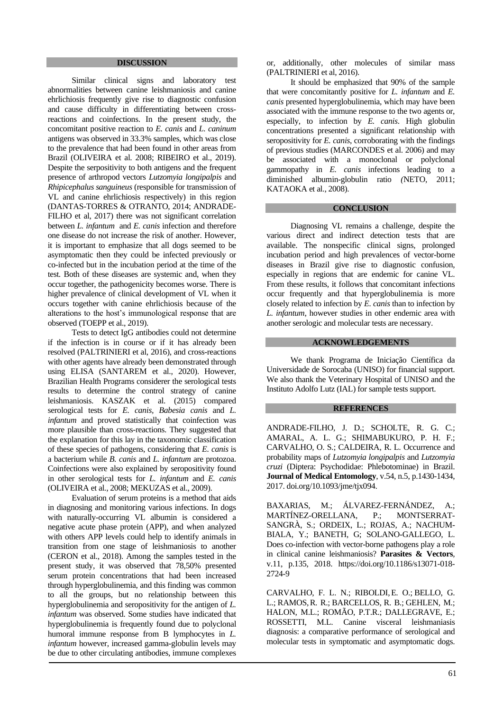## **DISCUSSION**

Similar clinical signs and laboratory test abnormalities between canine leishmaniosis and canine ehrlichiosis frequently give rise to diagnostic confusion and cause difficulty in differentiating between crossreactions and coinfections. In the present study, the concomitant positive reaction to *E. canis* and *L. caninum* antigens was observed in 33.3% samples, which was close to the prevalence that had been found in other areas from Brazil (OLIVEIRA et al. 2008; RIBEIRO et al., 2019). Despite the serpositivity to both antigens and the frequent presence of arthropod vectors *Lutzomyia longipalpis* and *Rhipicephalus sanguineus* (responsible for transmission of VL and canine ehrlichiosis respectively) in this region (DANTAS-TORRES & OTRANTO, 2014; ANDRADE-FILHO et al, 2017) there was not significant correlation between *L. infantum* and *E. canis* infection and therefore one disease do not increase the risk of another. However, it is important to emphasize that all dogs seemed to be asymptomatic then they could be infected previously or co-infected but in the incubation period at the time of the test. Both of these diseases are systemic and, when they occur together, the pathogenicity becomes worse. There is higher prevalence of clinical development of VL when it occurs together with canine ehrlichiosis because of the alterations to the host's immunological response that are observed (TOEPP et al., 2019).

Tests to detect IgG antibodies could not determine if the infection is in course or if it has already been resolved (PALTRINIERI et al, 2016), and cross-reactions with other agents have already been demonstrated through using ELISA (SANTAREM et al., 2020). However, Brazilian Health Programs considerer the serological tests results to determine the control strategy of canine leishmaniosis. KASZAK et al. (2015) compared serological tests for *E. canis, Babesia canis* and *L. infantum* and proved statistically that coinfection was more plausible than cross-reactions. They suggested that the explanation for this lay in the taxonomic classification of these species of pathogens, considering that *E. canis* is a bacterium while *B. canis* and *L. infantum* are protozoa. Coinfections were also explained by seropositivity found in other serological tests for *L. infantum* and *E. canis*  (OLIVEIRA et al., 2008; MEKUZAS et al., 2009).

Evaluation of serum proteins is a method that aids in diagnosing and monitoring various infections. In dogs with naturally-occurring VL albumin is considered a negative acute phase protein (APP), and when analyzed with others APP levels could help to identify animals in transition from one stage of leishmaniosis to another (CERON et al., 2018). Among the samples tested in the present study, it was observed that 78,50% presented serum protein concentrations that had been increased through hyperglobulinemia, and this finding was common to all the groups, but no relationship between this hyperglobulinemia and seropositivity for the antigen of *L. infantum* was observed. Some studies have indicated that hyperglobulinemia is frequently found due to polyclonal humoral immune response from B lymphocytes in *L. infantum* however, increased gamma-globulin levels may be due to other circulating antibodies, immune complexes

or, additionally, other molecules of similar mass (PALTRINIERI et al, 2016).

It should be emphasized that 90% of the sample that were concomitantly positive for *L. infantum* and *E. canis* presented hyperglobulinemia, which may have been associated with the immune response to the two agents or, especially, to infection by *E. canis*. High globulin concentrations presented a significant relationship with seropositivity for *E. canis*, corroborating with the findings of previous studies (MARCONDES et al. 2006) and may be associated with a monoclonal or polyclonal gammopathy in *E. canis* infections leading to a diminished albumin-globulin ratio *(*NETO, 2011; KATAOKA et al., 2008).

### **CONCLUSION**

Diagnosing VL remains a challenge, despite the various direct and indirect detection tests that are available. The nonspecific clinical signs, prolonged incubation period and high prevalences of vector-borne diseases in Brazil give rise to diagnostic confusion, especially in regions that are endemic for canine VL. From these results, it follows that concomitant infections occur frequently and that hyperglobulinemia is more closely related to infection by *E. canis* than to infection by *L. infantum*, however studies in other endemic area with another serologic and molecular tests are necessary.

#### **ACKNOWLEDGEMENTS**

We thank Programa de Iniciação Científica da Universidade de Sorocaba (UNISO) for financial support. We also thank the Veterinary Hospital of UNISO and the Instituto Adolfo Lutz (IAL) for sample tests support.

#### **REFERENCES**

ANDRADE-FILHO, J. D.; SCHOLTE, R. G. C.; AMARAL, A. L. G.; SHIMABUKURO, P. H. F.; CARVALHO, O. S.; CALDEIRA, R. L. Occurrence and probability maps of *Lutzomyia longipalpis* and *Lutzomyia cruzi* (Diptera: Psychodidae: Phlebotominae) in Brazil. **Journal of Medical Entomology**, v.54, n.5, p.1430-1434, 2017[. doi.org/10.1093/jme/tjx094.](https://doi.org/10.1093/jme/tjx094)

BAXARIAS, M.; ÁLVAREZ-FERNÁNDEZ, A.; MARTÍNEZ-ORELLANA, P.; MONTSERRAT-SANGRÀ, S.; ORDEIX, L.; ROJAS, A.; NACHUM-BIALA, Y.; BANETH, G; SOLANO-GALLEGO, L. Does co-infection with vector-borne pathogens play a role in clinical canine leishmaniosis? **Parasites & Vectors**, v.11, p.135, 2018. [https://doi.org/10.1186/s13071-018-](https://doi.org/10.1186/s13071-018-2724-9) [2724-9](https://doi.org/10.1186/s13071-018-2724-9)

CARVALHO, F. L. N.; [RIBOLDI,](https://pubmed.ncbi.nlm.nih.gov/?term=Riboldi+EO&cauthor_id=29477155)E. O.; [BELLO,](https://pubmed.ncbi.nlm.nih.gov/?term=Bello+GL&cauthor_id=29477155) G. L.; [RAMOS,](https://pubmed.ncbi.nlm.nih.gov/?term=Ramos+RR&cauthor_id=29477155)R. R.; [BARCELLOS,](https://pubmed.ncbi.nlm.nih.gov/?term=Barcellos+RB&cauthor_id=29477155) R. B.; [GEHLEN,](https://pubmed.ncbi.nlm.nih.gov/?term=Gehlen+M&cauthor_id=29477155) M.; HALON, M.L.; ROMÃO, P.T.R.; DALLEGRAVE, E.; ROSSETTI, M.L. Canine visceral leishmaniasis diagnosis: a comparative performance of serological and molecular tests in symptomatic and asymptomatic dogs.